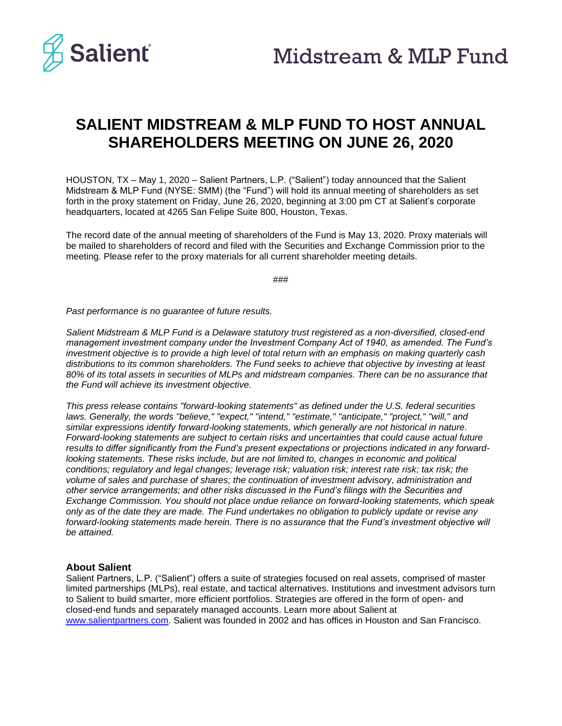

# **SALIENT MIDSTREAM & MLP FUND TO HOST ANNUAL SHAREHOLDERS MEETING ON JUNE 26, 2020**

HOUSTON, TX – May 1, 2020 – Salient Partners, L.P. ("Salient") today announced that the Salient Midstream & MLP Fund (NYSE: SMM) (the "Fund") will hold its annual meeting of shareholders as set forth in the proxy statement on Friday, June 26, 2020, beginning at 3:00 pm CT at Salient's corporate headquarters, located at 4265 San Felipe Suite 800, Houston, Texas.

The record date of the annual meeting of shareholders of the Fund is May 13, 2020. Proxy materials will be mailed to shareholders of record and filed with the Securities and Exchange Commission prior to the meeting. Please refer to the proxy materials for all current shareholder meeting details.

###

*Past performance is no guarantee of future results.*

*Salient Midstream & MLP Fund is a Delaware statutory trust registered as a non-diversified, closed-end management investment company under the Investment Company Act of 1940, as amended. The Fund's investment objective is to provide a high level of total return with an emphasis on making quarterly cash distributions to its common shareholders. The Fund seeks to achieve that objective by investing at least 80% of its total assets in securities of MLPs and midstream companies. There can be no assurance that the Fund will achieve its investment objective.*

*This press release contains "forward-looking statements" as defined under the U.S. federal securities laws. Generally, the words "believe," "expect," "intend," "estimate," "anticipate," "project," "will," and similar expressions identify forward-looking statements, which generally are not historical in nature. Forward-looking statements are subject to certain risks and uncertainties that could cause actual future results to differ significantly from the Fund's present expectations or projections indicated in any forwardlooking statements. These risks include, but are not limited to, changes in economic and political conditions; regulatory and legal changes; leverage risk; valuation risk; interest rate risk; tax risk; the volume of sales and purchase of shares; the continuation of investment advisory, administration and other service arrangements; and other risks discussed in the Fund's filings with the Securities and Exchange Commission. You should not place undue reliance on forward-looking statements, which speak only as of the date they are made. The Fund undertakes no obligation to publicly update or revise any forward-looking statements made herein. There is no assurance that the Fund's investment objective will be attained.*

#### **About Salient**

Salient Partners, L.P. ("Salient") offers a suite of strategies focused on real assets, comprised of master limited partnerships (MLPs), real estate, and tactical alternatives. Institutions and investment advisors turn to Salient to build smarter, more efficient portfolios. Strategies are offered in the form of open- and closed-end funds and separately managed accounts. Learn more about Salient at [www.salientpartners.com.](http://www.salientpartners.com/) Salient was founded in 2002 and has offices in Houston and San Francisco.